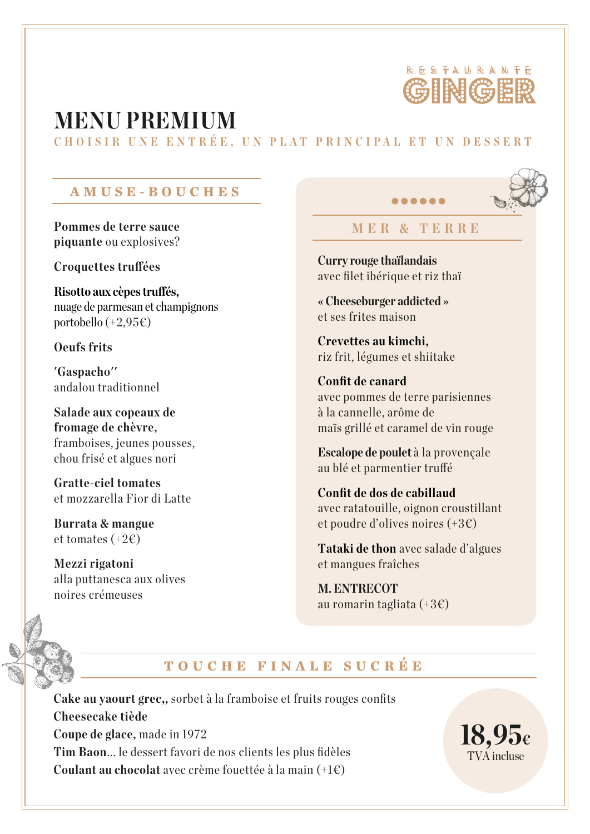

# **MENU PREMIUM**

**CHOIS I R UNE ENTRÉ E , UN P L A T PRI N C I P AL E T U N D ESSE R T**

#### **AMUSE-BOUCHES**

**Pommes de terre sauce piquante** ou explosives?

**Croquettes truffées** 

 $Risotto$  aux cèpes truffés. nuage de parmesan et champignons portobello  $(+2,95)$ €)

**Oeufs frits**

**'Gaspacho''** andalou traditionnel

**Salade aux copeaux de fromage de chèvre,** framboises, jeunes pousses, chou frisé et algues nori

**Gratte-ciel tomates** et mozzarella Fior di Latte

**Burrata & mangue** et tomates  $(+2\epsilon)$ 

**Mezzi rigatoni** alla puttanesca aux olives noires crémeuses

## **MER & T ERRE**

.....

**Curry rouge thaïlandais** avec filet ibérique et riz thaï

**« Cheeseburger addicted »** et ses frites maison

**Crevettes au kimchi,** riz frit, légumes et shiitake

**Confit de canard** avec pommes de terre parisiennes à la cannelle, arôme de maïs grillé et caramel de vin rouge

**Escalope de poulet** à la provençale au blé et parmentier truffé

**Confit de dos de cabillaud** avec ratatouille, oignon croustillant et poudre d'olives noires (+3€)

**Tataki de thon** avec salade d'algues et mangues fraîches

**M. ENTRECOT** au romarin tagliata (+3€)



# **TOUCHE FINALE SUCRÉE**

**Cake au yaourt grec,,** sorbet à la framboise et fruits rouges confits **Cheesecake tiède Coupe de glace,** made in 1972 **Tim Baon**... le dessert favori de nos clients les plus fidèles **Coulant au chocolat** avec crème fouettée à la main (+1€)

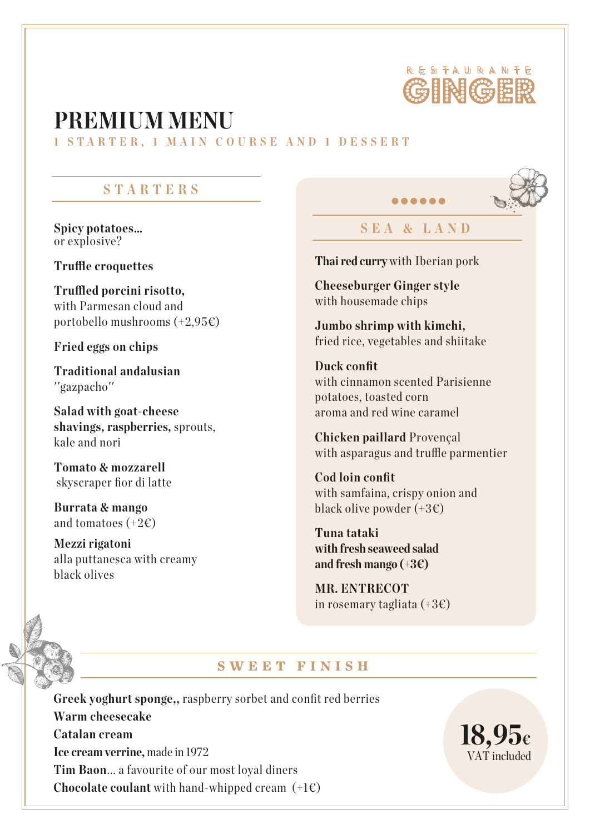

# **PREMIUM MENU**

**1 S T A R T ER, 1 MAIN C O U R SE AND 1 DESSE R T** 

### **STARTERS**

**Spicy potatoes…** or explosive?

**Truffle croquettes** 

**Trued porcini risotto,** with Parmesan cloud and portobello mushrooms  $(+2.95)$ 

**Fried eggs on chips**

**Traditional andalusian** ''gazpacho''

**Salad with goat-cheese shavings, raspberries,** sprouts, kale and nori

**Tomato & mozzarell** skyscraper fior di latte

**Burrata & mango** and tomatoes  $(+2\epsilon)$ 

**Mezzi rigatoni** alla puttanesca with creamy black olives

## **SEA & LAND**

*<u>AAAA</u>* 

**Thai red curry** with Iberian pork

**Cheeseburger Ginger style** with housemade chips

**Jumbo shrimp with kimchi,** fried rice, vegetables and shiitake

**Duck confit** with cinnamon scented Parisienne potatoes, toasted corn aroma and red wine caramel

**Chicken paillard** Provençal with asparagus and truffle parmentier

**Cod loin confit** with samfaina, crispy onion and black olive powder  $(+3)$ 

**Tuna tataki with fresh seaweed salad and fresh mango (+3€)**

**MR. ENTRECOT** in rosemary tagliata  $(+3 \epsilon)$ 

#### **SWEET FINISH**

**Greek yoghurt sponge,,** raspberry sorbet and confit red berries **Warm cheesecake Catalan cream Ice cream verrine,** made in 1972 **Tim Baon**... a favourite of our most loyal diners **Chocolate coulant** with hand-whipped cream  $(+1)$